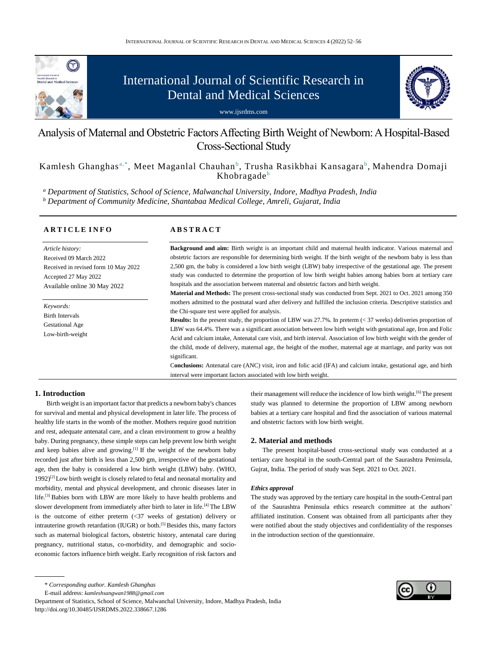

# International Journal of Scientific Research in Dental and Medical Sciences





# Analysis of Maternal and Obstetric Factors Affecting Birth Weight of Newborn: A Hospital-Based Cross-Sectional Study

Kamlesh Ghanghas<sup>a,\*</sup>, Meet Maganlal Chauhan<sup>b</sup>, Trusha Rasikbhai Kansagara<sup>b</sup>, Mahendra Domaji  $Khobragade<sup>b</sup>$ 

*<sup>a</sup> Department of Statistics, School of Science, Malwanchal University, Indore, Madhya Pradesh, India <sup>b</sup> Department of Community Medicine, Shantabaa Medical College, Amreli, Gujarat, India*

|  |  |  | <b>ARTICLE INFO</b> |  |  |
|--|--|--|---------------------|--|--|
|  |  |  |                     |  |  |

*Article history:* Received 09 March 2022 Received in revised form 10 May 2022 Accepted 27 May 2022 Available online 30 May 2022

*Keywords:* Birth Intervals Gestational Age Low-birth-weight

# **A B S T R A C T**

**Background and aim:** Birth weight is an important child and maternal health indicator. Various maternal and obstetric factors are responsible for determining birth weight. If the birth weight of the newborn baby is less than 2,500 gm, the baby is considered a low birth weight (LBW) baby irrespective of the gestational age. The present study was conducted to determine the proportion of low birth weight babies among babies born at tertiary care hospitals and the association between maternal and obstetric factors and birth weight.

**Material and Methods:** The present cross-sectional study was conducted from Sept. 2021 to Oct. 2021 among 350 mothers admitted to the postnatal ward after delivery and fulfilled the inclusion criteria. Descriptive statistics and the Chi-square test were applied for analysis.

**Results:** In the present study, the proportion of LBW was 27.7%. In preterm (< 37 weeks) deliveries proportion of LBW was 64.4%. There was a significant association between low birth weight with gestational age, Iron and Folic Acid and calcium intake, Antenatal care visit, and birth interval. Association of low birth weight with the gender of the child, mode of delivery, maternal age, the height of the mother, maternal age at marriage, and parity was not significant.

C**onclusions:** Antenatal care (ANC) visit, iron and folic acid (IFA) and calcium intake, gestational age, and birth interval were important factors associated with low birth weight.

# **1. Introduction**

Birth weight is an important factor that predicts a newborn baby's chances for survival and mental and physical development in later life. The process of healthy life starts in the womb of the mother. Mothers require good nutrition and rest, adequate antenatal care, and a clean environment to grow a healthy baby. During pregnancy, these simple steps can help prevent low birth weight and keep babies alive and growing.<sup>[1]</sup> If the weight of the newborn baby recorded just after birth is less than 2,500 gm, irrespective of the gestational age, then the baby is considered a low birth weight (LBW) baby. (WHO,  $1992$ <sup>[2]</sup>Low birth weight is closely related to fetal and neonatal mortality and morbidity, mental and physical development, and chronic diseases later in life.[3] Babies born with LBW are more likely to have health problems and slower development from immediately after birth to later in life.<sup>[4]</sup> The LBW is the outcome of either preterm (<37 weeks of gestation) delivery or intrauterine growth retardation (IUGR) or both.<sup>[5]</sup> Besides this, many factors such as maternal biological factors, obstetric history, antenatal care during pregnancy, nutritional status, co-morbidity, and demographic and socioeconomic factors influence birth weight. Early recognition of risk factors and

E-mail address: *[kamleshsangwan1988@gmail.com](mailto:kamleshsangwan1988@gmail.com)*

Department of Statistics, School of Science, Malwanchal University, Indore, Madhya Pradesh, India http://doi.org/10.30485/IJSRDMS.2022.338667.1286

their management will reduce the incidence of low birth weight.<sup>[6]</sup> The present study was planned to determine the proportion of LBW among newborn babies at a tertiary care hospital and find the association of various maternal and obstetric factors with low birth weight.

# **2. Material and methods**

The present hospital-based cross-sectional study was conducted at a tertiary care hospital in the south-Central part of the Saurashtra Peninsula, Gujrat, India. The period of study was Sept. 2021 to Oct. 2021.

#### *Ethics approval*

The study was approved by the tertiary care hospital in the south-Central part of the Saurashtra Peninsula ethics research committee at the authors' affiliated institution. Consent was obtained from all participants after they were notified about the study objectives and confidentiality of the responses in the introduction section of the questionnaire.

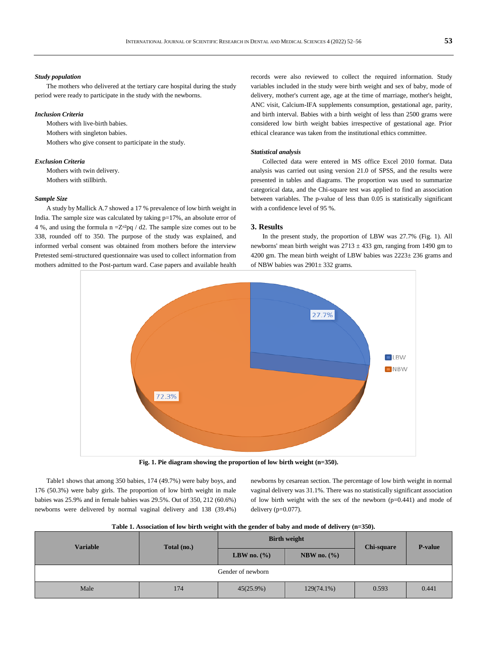#### *Study population*

The mothers who delivered at the tertiary care hospital during the study period were ready to participate in the study with the newborns.

#### *Inclusion Criteria*

Mothers with live-birth babies. Mothers with singleton babies. Mothers who give consent to participate in the study.

## *Exclusion Criteria*

Mothers with twin delivery. Mothers with stillbirth.

#### *Sample Size*

A study by Mallick A.7 showed a 17 % prevalence of low birth weight in India. The sample size was calculated by taking  $p=17%$ , an absolute error of 4 %, and using the formula n = $Z^{\alpha^2}$ pq / d2. The sample size comes out to be 338, rounded off to 350. The purpose of the study was explained, and informed verbal consent was obtained from mothers before the interview Pretested semi-structured questionnaire was used to collect information from mothers admitted to the Post-partum ward. Case papers and available health

records were also reviewed to collect the required information. Study variables included in the study were birth weight and sex of baby, mode of delivery, mother's current age, age at the time of marriage, mother's height, ANC visit, Calcium-IFA supplements consumption, gestational age, parity, and birth interval. Babies with a birth weight of less than 2500 grams were considered low birth weight babies irrespective of gestational age. Prior ethical clearance was taken from the institutional ethics committee.

#### *Statistical analysis*

Collected data were entered in MS office Excel 2010 format. Data analysis was carried out using version 21.0 of SPSS, and the results were presented in tables and diagrams. The proportion was used to summarize categorical data, and the Chi-square test was applied to find an association between variables. The p-value of less than 0.05 is statistically significant with a confidence level of 95 %.

#### **3. Results**

In the present study, the proportion of LBW was 27.7% (Fig. 1). All newborns' mean birth weight was  $2713 \pm 433$  gm, ranging from 1490 gm to 4200 gm. The mean birth weight of LBW babies was  $2223 \pm 236$  grams and of NBW babies was 2901± 332 grams.



**Fig. 1. Pie diagram showing the proportion of low birth weight (n=350).**

Table1 shows that among 350 babies, 174 (49.7%) were baby boys, and 176 (50.3%) were baby girls. The proportion of low birth weight in male babies was 25.9% and in female babies was 29.5%. Out of 350, 212 (60.6%) newborns were delivered by normal vaginal delivery and 138 (39.4%) newborns by cesarean section. The percentage of low birth weight in normal vaginal delivery was 31.1%. There was no statistically significant association of low birth weight with the sex of the newborn  $(p=0.441)$  and mode of delivery (p=0.077).

**Table 1. Association of low birth weight with the gender of baby and mode of delivery (n=350).**

| <b>Variable</b>   | Total (no.) |                | <b>Birth weight</b> | <b>Chi-square</b> | <b>P-value</b> |  |  |  |
|-------------------|-------------|----------------|---------------------|-------------------|----------------|--|--|--|
|                   |             | LBW no. $(\%)$ | NBW no. $(\%)$      |                   |                |  |  |  |
| Gender of newborn |             |                |                     |                   |                |  |  |  |
| Male              | 174         | 45(25.9%)      | $129(74.1\%)$       | 0.593             | 0.441          |  |  |  |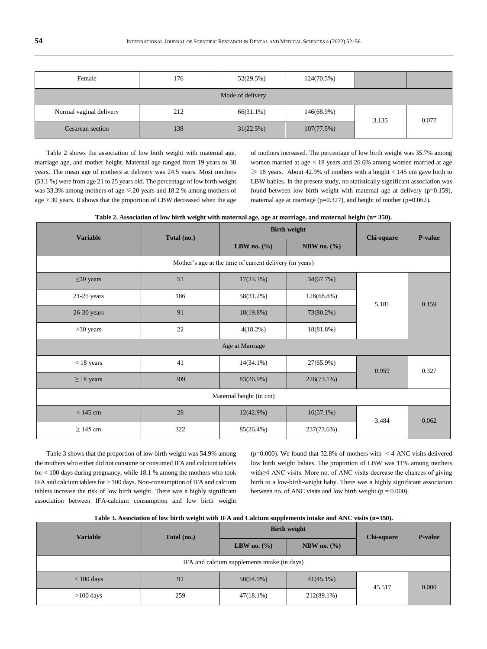| Female                  | 176 | 52(29.5%) | 124(70.5%) |       |       |  |  |  |
|-------------------------|-----|-----------|------------|-------|-------|--|--|--|
| Mode of delivery        |     |           |            |       |       |  |  |  |
| Normal vaginal delivery | 212 | 66(31.1%) | 146(68.9%) | 3.135 | 0.077 |  |  |  |
| Cesarean section        | 138 | 31(22.5%) | 107(77.5%) |       |       |  |  |  |

Table 2 shows the association of low birth weight with maternal age, marriage age, and mother height. Maternal age ranged from 19 years to 38 years. The mean age of mothers at delivery was 24.5 years. Most mothers (53.1 %) were from age 21 to 25 years old. The percentage of low birth weight was 33.3% among mothers of age ≤20 years and 18.2 % among mothers of age > 30 years. It shows that the proportion of LBW decreased when the age

of mothers increased. The percentage of low birth weight was 35.7% among women married at age < 18 years and 26.6% among women married at age  $\geq$  18 years. About 42.9% of mothers with a height < 145 cm gave birth to LBW babies. In the present study, no statistically significant association was found between low birth weight with maternal age at delivery  $(p=0.159)$ , maternal age at marriage ( $p=0.327$ ), and height of mother ( $p=0.062$ ).

| Variable | Total (no.) | <b>Birth weight</b> | Chi-square      | P-value |  |
|----------|-------------|---------------------|-----------------|---------|--|
|          |             | LBW no. $(\% )$     | NBW no. $(\% )$ |         |  |

**Table 2. Association of low birth weight with maternal age, age at marriage, and maternal height (n= 350).**

|                                                         |     | LBW no. $(\% )$ | NBW no. $(\%$ |       |       |  |  |  |
|---------------------------------------------------------|-----|-----------------|---------------|-------|-------|--|--|--|
| Mother's age at the time of current delivery (in years) |     |                 |               |       |       |  |  |  |
| $\leq$ 20 years                                         | 51  | $17(33.3\%)$    | 34(67.7%)     |       | 0.159 |  |  |  |
| $21-25$ years                                           | 186 | 58(31.2%)       | 128(68.8%)    | 5.181 |       |  |  |  |
| $26-30$ years                                           | 91  | 18(19.8%)       | 73(80.2%)     |       |       |  |  |  |
| $>30$ years                                             | 22  | $4(18.2\%)$     | $18(81.8\%)$  |       |       |  |  |  |
| Age at Marriage                                         |     |                 |               |       |       |  |  |  |
| $<$ 18 years                                            | 41  | $14(34.1\%)$    | 27(65.9%)     | 0.959 | 0.327 |  |  |  |
| $\geq$ 18 years                                         | 309 | 83(26.9%)       | $226(73.1\%)$ |       |       |  |  |  |
| Maternal height (in cm)                                 |     |                 |               |       |       |  |  |  |
| $<$ 145 cm                                              | 28  | 12(42.9%)       | $16(57.1\%)$  | 3.484 | 0.062 |  |  |  |
| $\geq$ 145 cm                                           | 322 | 85(26.4%)       | 237(73.6%)    |       |       |  |  |  |

Table 3 shows that the proportion of low birth weight was 54.9% among the mothers who either did not consume or consumed IFA and calcium tablets for < 100 days during pregnancy, while 18.1 % among the mothers who took IFA and calcium tablets for > 100 days. Non-consumption of IFA and calcium tablets increase the risk of low birth weight. There was a highly significant association between IFA-calcium consumption and low birth weight

(p=0.000). We found that 32.8% of mothers with  $\langle 4 \text{ ANC visits delivered} \rangle$ low birth weight babies. The proportion of LBW was 11% among mothers with≥4 ANC visits. More no. of ANC visits decrease the chances of giving birth to a low-birth-weight baby. There was a highly significant association between no. of ANC visits and low birth weight ( $p = 0.000$ ).

| <b>Variable</b>                              | Total (no.) |                 | <b>Birth weight</b> | <b>Chi-square</b> | <b>P-value</b> |  |  |  |
|----------------------------------------------|-------------|-----------------|---------------------|-------------------|----------------|--|--|--|
|                                              |             | LBW no. $(\% )$ | NBW no. $(\% )$     |                   |                |  |  |  |
| IFA and calcium supplements intake (in days) |             |                 |                     |                   |                |  |  |  |
| $< 100$ days                                 | 91          | 50(54.9%)       | $41(45.1\%)$        | 45.517            | 0.000          |  |  |  |
| $>100$ days                                  | 259         | $47(18.1\%)$    | 212(89.1%)          |                   |                |  |  |  |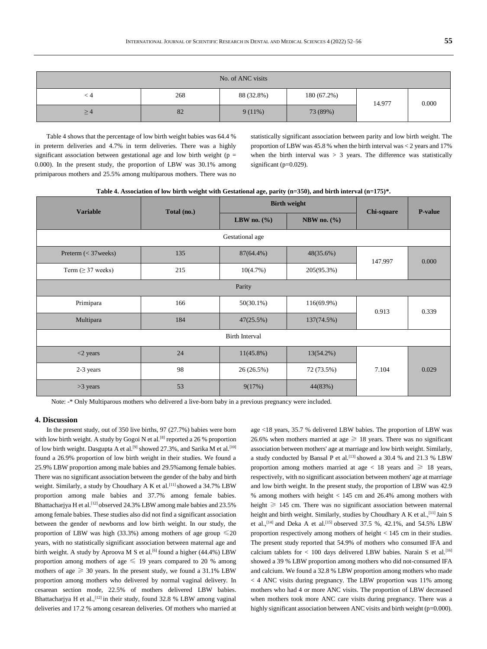| No. of ANC visits |     |            |               |        |       |  |  |  |  |
|-------------------|-----|------------|---------------|--------|-------|--|--|--|--|
| ⊂ 4               | 268 | 88 (32.8%) | $180(67.2\%)$ | 14.977 | 0.000 |  |  |  |  |
| $\geq$ 4          | 82  | $9(11\%)$  | 73 (89%)      |        |       |  |  |  |  |

Table 4 shows that the percentage of low birth weight babies was 64.4 % in preterm deliveries and 4.7% in term deliveries. There was a highly significant association between gestational age and low birth weight ( $p =$ 0.000). In the present study, the proportion of LBW was 30.1% among primiparous mothers and 25.5% among multiparous mothers. There was no

statistically significant association between parity and low birth weight. The proportion of LBW was 45.8 % when the birth interval was < 2 years and 17% when the birth interval was  $> 3$  years. The difference was statistically significant (p=0.029).

**Table 4. Association of low birth weight with Gestational age, parity (n=350), and birth interval (n=175)\*.**

| <b>Variable</b>         | Total (no.) |                 | <b>Birth weight</b> | <b>Chi-square</b> | <b>P-value</b> |  |  |  |
|-------------------------|-------------|-----------------|---------------------|-------------------|----------------|--|--|--|
|                         |             | LBW no. $(\% )$ | NBW no. $(\% )$     |                   |                |  |  |  |
| Gestational age         |             |                 |                     |                   |                |  |  |  |
| Preterm $(<$ 37 weeks)  | 135         | 87(64.4%)       | 48(35.6%)           | 147.997           | 0.000          |  |  |  |
| Term ( $\geq$ 37 weeks) | 215         | 10(4.7%)        | 205(95.3%)          |                   |                |  |  |  |
| Parity                  |             |                 |                     |                   |                |  |  |  |
| Primipara               | 166         | $50(30.1\%)$    | 116(69.9%)          | 0.913             | 0.339          |  |  |  |
| Multipara               | 184         | 47(25.5%)       | 137(74.5%)          |                   |                |  |  |  |
| <b>Birth Interval</b>   |             |                 |                     |                   |                |  |  |  |
| $<$ 2 years             | 24          | $11(45.8\%)$    | $13(54.2\%)$        |                   |                |  |  |  |
| 2-3 years               | 98          | 26(26.5%)       | 72 (73.5%)          | 7.104             | 0.029          |  |  |  |
| $>3$ years              | 53          | 9(17%)          | 44(83%)             |                   |                |  |  |  |

Note: -\* Only Multiparous mothers who delivered a live-born baby in a previous pregnancy were included.

# **4. Discussion**

In the present study, out of 350 live births, 97 (27.7%) babies were born with low birth weight. A study by Gogoi N et al.<sup>[8]</sup> reported a 26 % proportion of low birth weight. Dasgupta A et al.<sup>[9]</sup> showed 27.3%, and Sarika M et al.<sup>[10]</sup> found a 26.9% proportion of low birth weight in their studies. We found a 25.9% LBW proportion among male babies and 29.5%among female babies. There was no significant association between the gender of the baby and birth weight. Similarly, a study by Choudhary A K et al.<sup>[11]</sup> showed a 34.7% LBW proportion among male babies and 37.7% among female babies. Bhattacharjya H et al.<sup>[12]</sup> observed 24.3% LBW among male babies and 23.5% among female babies. These studies also did not find a significant association between the gender of newborns and low birth weight. In our study, the proportion of LBW was high (33.3%) among mothers of age group  $\leq 20$ years, with no statistically significant association between maternal age and birth weight. A study by Aproova M S et al.<sup>[6]</sup> found a higher (44.4%) LBW proportion among mothers of age  $\leq$  19 years compared to 20 % among mothers of age  $\geq$  30 years. In the present study, we found a 31.1% LBW proportion among mothers who delivered by normal vaginal delivery. In cesarean section mode, 22.5% of mothers delivered LBW babies. Bhattacharjya H et al.,<sup>[12]</sup> in their study, found 32.8 % LBW among vaginal deliveries and 17.2 % among cesarean deliveries. Of mothers who married at age <18 years, 35.7 % delivered LBW babies. The proportion of LBW was 26.6% when mothers married at age  $\geq$  18 years. There was no significant association between mothers' age at marriage and low birth weight. Similarly, a study conducted by Bansal P et al.<sup>[13]</sup> showed a 30.4 % and 21.3 % LBW proportion among mothers married at age  $\lt$  18 years and  $\geq$  18 years, respectively, with no significant association between mothers' age at marriage and low birth weight. In the present study, the proportion of LBW was 42.9 % among mothers with height  $< 145$  cm and 26.4% among mothers with height ≥ 145 cm. There was no significant association between maternal height and birth weight. Similarly, studies by Choudhary A K et al., [11] Jain S et al.,<sup>[14]</sup> and Deka A et al.<sup>[15]</sup> observed 37.5 %, 42.1%, and 54.5% LBW proportion respectively among mothers of height < 145 cm in their studies. The present study reported that 54.9% of mothers who consumed IFA and calcium tablets for  $< 100$  days delivered LBW babies. Narain S et al.<sup>[16]</sup> showed a 39 % LBW proportion among mothers who did not-consumed IFA and calcium. We found a 32.8 % LBW proportion among mothers who made < 4 ANC visits during pregnancy. The LBW proportion was 11% among mothers who had 4 or more ANC visits. The proportion of LBW decreased when mothers took more ANC care visits during pregnancy. There was a highly significant association between ANC visits and birth weight (p=0.000).